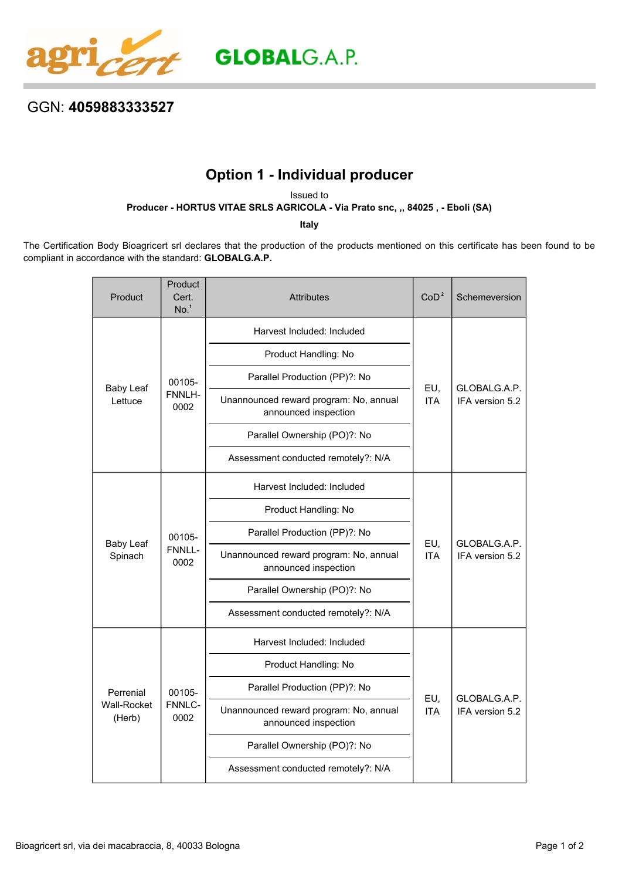

## GGN: **4059883333527**

## **Option 1 - Individual producer**

Issued to

**Producer - HORTUS VITAE SRLS AGRICOLA - Via Prato snc, ,, 84025 , - Eboli (SA)**

**Italy**

The Certification Body Bioagricert srl declares that the production of the products mentioned on this certificate has been found to be compliant in accordance with the standard: **GLOBALG.A.P.**

| Product                            | Product<br>Cert.<br>No. <sup>1</sup> | <b>Attributes</b>                                              | CoD <sup>2</sup>  | Schemeversion                   |
|------------------------------------|--------------------------------------|----------------------------------------------------------------|-------------------|---------------------------------|
| <b>Baby Leaf</b><br>Lettuce        | 00105-<br>FNNLH-<br>0002             | Harvest Included: Included                                     | EU,<br><b>ITA</b> | GLOBALG.A.P.<br>IFA version 5.2 |
|                                    |                                      | Product Handling: No                                           |                   |                                 |
|                                    |                                      | Parallel Production (PP)?: No                                  |                   |                                 |
|                                    |                                      | Unannounced reward program: No, annual<br>announced inspection |                   |                                 |
|                                    |                                      | Parallel Ownership (PO)?: No                                   |                   |                                 |
|                                    |                                      | Assessment conducted remotely?: N/A                            |                   |                                 |
| <b>Baby Leaf</b><br>Spinach        | 00105-<br>FNNLL-<br>0002             | Harvest Included: Included                                     | EU,<br><b>ITA</b> | GLOBALG.A.P.<br>IFA version 5.2 |
|                                    |                                      | Product Handling: No                                           |                   |                                 |
|                                    |                                      | Parallel Production (PP)?: No                                  |                   |                                 |
|                                    |                                      | Unannounced reward program: No, annual<br>announced inspection |                   |                                 |
|                                    |                                      | Parallel Ownership (PO)?: No                                   |                   |                                 |
|                                    |                                      | Assessment conducted remotely?: N/A                            |                   |                                 |
| Perrenial<br>Wall-Rocket<br>(Herb) | 00105-<br>FNNLC-<br>0002             | Harvest Included: Included                                     | EU,<br><b>ITA</b> | GLOBALG.A.P.<br>IFA version 5.2 |
|                                    |                                      | Product Handling: No                                           |                   |                                 |
|                                    |                                      | Parallel Production (PP)?: No                                  |                   |                                 |
|                                    |                                      | Unannounced reward program: No, annual<br>announced inspection |                   |                                 |
|                                    |                                      | Parallel Ownership (PO)?: No                                   |                   |                                 |
|                                    |                                      | Assessment conducted remotely?: N/A                            |                   |                                 |